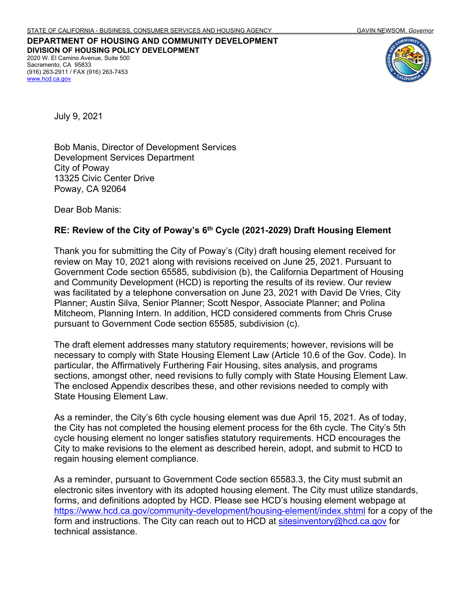**DEPARTMENT OF HOUSING AND COMMUNITY DEVELOPMENT DIVISION OF HOUSING POLICY DEVELOPMENT** 2020 W. El Camino Avenue, Suite 500 Sacramento, CA 95833 (916) 263-2911 / FAX (916) 263-7453 [www.hcd.ca.gov](http://www.hcd.ca.gov/)



July 9, 2021

Bob Manis, Director of Development Services Development Services Department City of Poway 13325 Civic Center Drive Poway, CA 92064

Dear Bob Manis:

#### **RE: Review of the City of Poway's 6th Cycle (2021-2029) Draft Housing Element**

Thank you for submitting the City of Poway's (City) draft housing element received for review on May 10, 2021 along with revisions received on June 25, 2021. Pursuant to Government Code section 65585, subdivision (b), the California Department of Housing and Community Development (HCD) is reporting the results of its review. Our review was facilitated by a telephone conversation on June 23, 2021 with David De Vries, City Planner; Austin Silva, Senior Planner; Scott Nespor, Associate Planner; and Polina Mitcheom, Planning Intern. In addition, HCD considered comments from Chris Cruse pursuant to Government Code section 65585, subdivision (c).

The draft element addresses many statutory requirements; however, revisions will be necessary to comply with State Housing Element Law (Article 10.6 of the Gov. Code). In particular, the Affirmatively Furthering Fair Housing, sites analysis, and programs sections, amongst other, need revisions to fully comply with State Housing Element Law. The enclosed Appendix describes these, and other revisions needed to comply with State Housing Element Law.

As a reminder, the City's 6th cycle housing element was due April 15, 2021. As of today, the City has not completed the housing element process for the 6th cycle. The City's 5th cycle housing element no longer satisfies statutory requirements. HCD encourages the City to make revisions to the element as described herein, adopt, and submit to HCD to regain housing element compliance.

As a reminder, pursuant to Government Code section 65583.3, the City must submit an electronic sites inventory with its adopted housing element. The City must utilize standards, forms, and definitions adopted by HCD. Please see HCD's housing element webpage at <https://www.hcd.ca.gov/community-development/housing-element/index.shtml> for a copy of the form and instructions. The City can reach out to HCD at sitesinventory@hcd.ca.gov for technical assistance.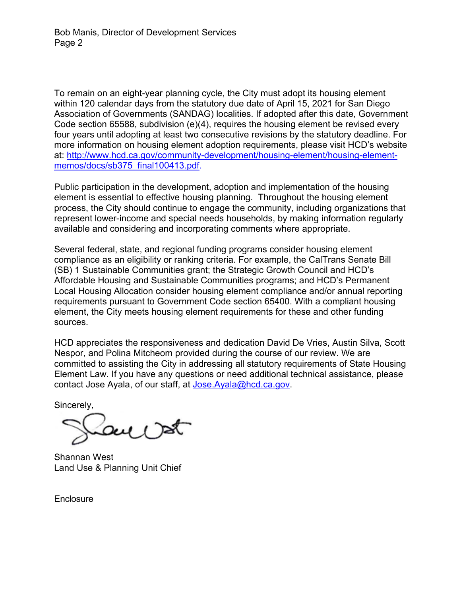To remain on an eight-year planning cycle, the City must adopt its housing element within 120 calendar days from the statutory due date of April 15, 2021 for San Diego Association of Governments (SANDAG) localities. If adopted after this date, Government Code section 65588, subdivision (e)(4), requires the housing element be revised every four years until adopting at least two consecutive revisions by the statutory deadline. For more information on housing element adoption requirements, please visit HCD's website at: [http://www.hcd.ca.gov/community-development/housing-element/housing-element](http://www.hcd.ca.gov/community-development/housing-element/housing-element-memos/docs/sb375_final100413.pdf)[memos/docs/sb375\\_final100413.pdf.](http://www.hcd.ca.gov/community-development/housing-element/housing-element-memos/docs/sb375_final100413.pdf)

Public participation in the development, adoption and implementation of the housing element is essential to effective housing planning. Throughout the housing element process, the City should continue to engage the community, including organizations that represent lower-income and special needs households, by making information regularly available and considering and incorporating comments where appropriate.

Several federal, state, and regional funding programs consider housing element compliance as an eligibility or ranking criteria. For example, the CalTrans Senate Bill (SB) 1 Sustainable Communities grant; the Strategic Growth Council and HCD's Affordable Housing and Sustainable Communities programs; and HCD's Permanent Local Housing Allocation consider housing element compliance and/or annual reporting requirements pursuant to Government Code section 65400. With a compliant housing element, the City meets housing element requirements for these and other funding sources.

HCD appreciates the responsiveness and dedication David De Vries, Austin Silva, Scott Nespor, and Polina Mitcheom provided during the course of our review. We are committed to assisting the City in addressing all statutory requirements of State Housing Element Law. If you have any questions or need additional technical assistance, please contact Jose Ayala, of our staff, at [Jose.Ayala@hcd.ca.gov.](mailto:Jose.Ayala@hcd.ca.gov)

Sincerely,

Shannan West Land Use & Planning Unit Chief

**Enclosure**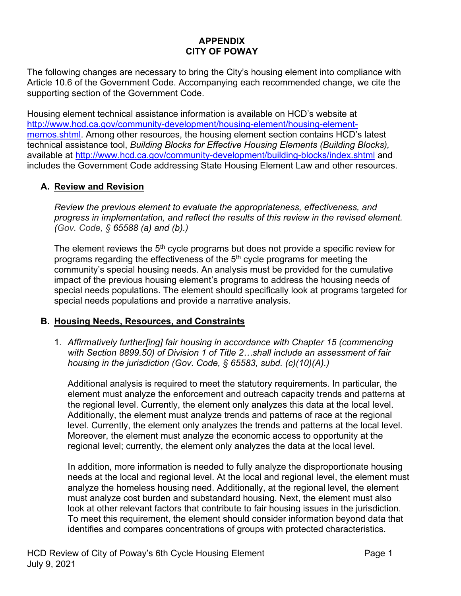# **APPENDIX CITY OF POWAY**

The following changes are necessary to bring the City's housing element into compliance with Article 10.6 of the Government Code. Accompanying each recommended change, we cite the supporting section of the Government Code.

Housing element technical assistance information is available on HCD's website at [http://www.hcd.ca.gov/community-development/housing-element/housing-element](http://www.hcd.ca.gov/community-development/housing-element/housing-element-memos.shtml)[memos.shtml.](http://www.hcd.ca.gov/community-development/housing-element/housing-element-memos.shtml) Among other resources, the housing element section contains HCD's latest technical assistance tool, *Building Blocks for Effective Housing Elements (Building Blocks),*  available at<http://www.hcd.ca.gov/community-development/building-blocks/index.shtml> and includes the Government Code addressing State Housing Element Law and other resources.

## **A. Review and Revision**

*Review the previous element to evaluate the appropriateness, effectiveness, and progress in implementation, and reflect the results of this review in the revised element. (Gov. Code, § 65588 (a) and (b).)*

The element reviews the  $5<sup>th</sup>$  cycle programs but does not provide a specific review for programs regarding the effectiveness of the  $5<sup>th</sup>$  cycle programs for meeting the community's special housing needs. An analysis must be provided for the cumulative impact of the previous housing element's programs to address the housing needs of special needs populations. The element should specifically look at programs targeted for special needs populations and provide a narrative analysis.

### **B. Housing Needs, Resources, and Constraints**

1. *Affirmatively further[ing] fair housing in accordance with Chapter 15 (commencing with Section 8899.50) of Division 1 of Title 2…shall include an assessment of fair housing in the jurisdiction (Gov. Code, § 65583, subd. (c)(10)(A).)*

Additional analysis is required to meet the statutory requirements. In particular, the element must analyze the enforcement and outreach capacity trends and patterns at the regional level. Currently, the element only analyzes this data at the local level. Additionally, the element must analyze trends and patterns of race at the regional level. Currently, the element only analyzes the trends and patterns at the local level. Moreover, the element must analyze the economic access to opportunity at the regional level; currently, the element only analyzes the data at the local level.

In addition, more information is needed to fully analyze the disproportionate housing needs at the local and regional level. At the local and regional level, the element must analyze the homeless housing need. Additionally, at the regional level, the element must analyze cost burden and substandard housing. Next, the element must also look at other relevant factors that contribute to fair housing issues in the jurisdiction. To meet this requirement, the element should consider information beyond data that identifies and compares concentrations of groups with protected characteristics.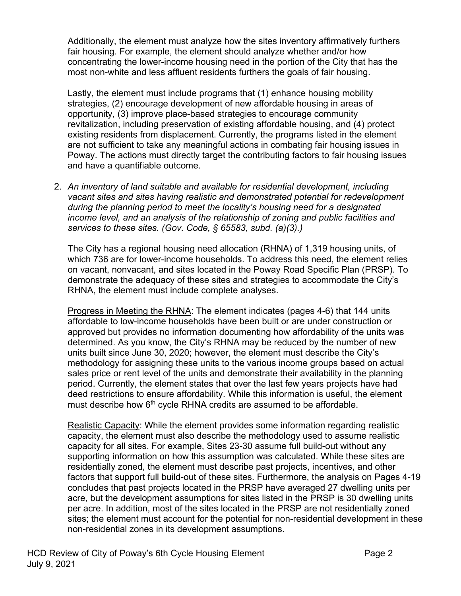Additionally, the element must analyze how the sites inventory affirmatively furthers fair housing. For example, the element should analyze whether and/or how concentrating the lower-income housing need in the portion of the City that has the most non-white and less affluent residents furthers the goals of fair housing.

Lastly, the element must include programs that (1) enhance housing mobility strategies, (2) encourage development of new affordable housing in areas of opportunity, (3) improve place-based strategies to encourage community revitalization, including preservation of existing affordable housing, and (4) protect existing residents from displacement. Currently, the programs listed in the element are not sufficient to take any meaningful actions in combating fair housing issues in Poway. The actions must directly target the contributing factors to fair housing issues and have a quantifiable outcome.

2. *An inventory of land suitable and available for residential development, including vacant sites and sites having realistic and demonstrated potential for redevelopment during the planning period to meet the locality's housing need for a designated income level, and an analysis of the relationship of zoning and public facilities and services to these sites. (Gov. Code, § 65583, subd. (a)(3).)*

The City has a regional housing need allocation (RHNA) of 1,319 housing units, of which 736 are for lower-income households. To address this need, the element relies on vacant, nonvacant, and sites located in the Poway Road Specific Plan (PRSP). To demonstrate the adequacy of these sites and strategies to accommodate the City's RHNA, the element must include complete analyses.

Progress in Meeting the RHNA: The element indicates (pages 4-6) that 144 units affordable to low-income households have been built or are under construction or approved but provides no information documenting how affordability of the units was determined. As you know, the City's RHNA may be reduced by the number of new units built since June 30, 2020; however, the element must describe the City's methodology for assigning these units to the various income groups based on actual sales price or rent level of the units and demonstrate their availability in the planning period. Currently, the element states that over the last few years projects have had deed restrictions to ensure affordability. While this information is useful, the element must describe how 6<sup>th</sup> cycle RHNA credits are assumed to be affordable.

Realistic Capacity: While the element provides some information regarding realistic capacity, the element must also describe the methodology used to assume realistic capacity for all sites. For example, Sites 23-30 assume full build-out without any supporting information on how this assumption was calculated. While these sites are residentially zoned, the element must describe past projects, incentives, and other factors that support full build-out of these sites. Furthermore, the analysis on Pages 4-19 concludes that past projects located in the PRSP have averaged 27 dwelling units per acre, but the development assumptions for sites listed in the PRSP is 30 dwelling units per acre. In addition, most of the sites located in the PRSP are not residentially zoned sites; the element must account for the potential for non-residential development in these non-residential zones in its development assumptions.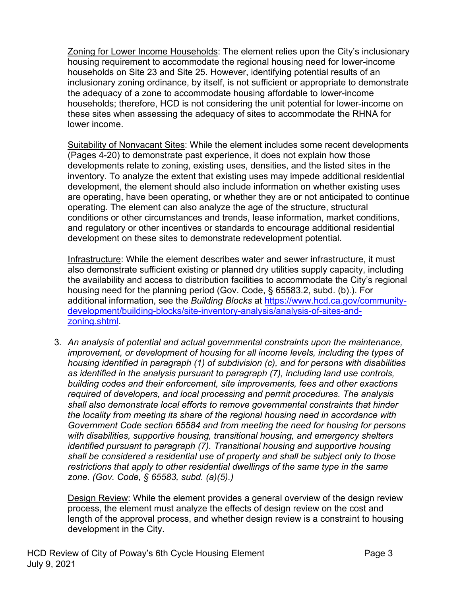Zoning for Lower Income Households: The element relies upon the City's inclusionary housing requirement to accommodate the regional housing need for lower-income households on Site 23 and Site 25. However, identifying potential results of an inclusionary zoning ordinance, by itself, is not sufficient or appropriate to demonstrate the adequacy of a zone to accommodate housing affordable to lower-income households; therefore, HCD is not considering the unit potential for lower-income on these sites when assessing the adequacy of sites to accommodate the RHNA for lower income.

Suitability of Nonvacant Sites: While the element includes some recent developments (Pages 4-20) to demonstrate past experience, it does not explain how those developments relate to zoning, existing uses, densities, and the listed sites in the inventory. To analyze the extent that existing uses may impede additional residential development, the element should also include information on whether existing uses are operating, have been operating, or whether they are or not anticipated to continue operating. The element can also analyze the age of the structure, structural conditions or other circumstances and trends, lease information, market conditions, and regulatory or other incentives or standards to encourage additional residential development on these sites to demonstrate redevelopment potential.

Infrastructure: While the element describes water and sewer infrastructure, it must also demonstrate sufficient existing or planned dry utilities supply capacity, including the availability and access to distribution facilities to accommodate the City's regional housing need for the planning period (Gov. Code, § 65583.2, subd. (b).). For additional information, see the *Building Blocks* at [https://www.hcd.ca.gov/community](https://www.hcd.ca.gov/community-development/building-blocks/site-inventory-analysis/analysis-of-sites-and-zoning.shtml)[development/building-blocks/site-inventory-analysis/analysis-of-sites-and](https://www.hcd.ca.gov/community-development/building-blocks/site-inventory-analysis/analysis-of-sites-and-zoning.shtml)[zoning.shtml.](https://www.hcd.ca.gov/community-development/building-blocks/site-inventory-analysis/analysis-of-sites-and-zoning.shtml)

3. *An analysis of potential and actual governmental constraints upon the maintenance, improvement, or development of housing for all income levels, including the types of housing identified in paragraph (1) of subdivision (c), and for persons with disabilities as identified in the analysis pursuant to paragraph (7), including land use controls, building codes and their enforcement, site improvements, fees and other exactions required of developers, and local processing and permit procedures. The analysis shall also demonstrate local efforts to remove governmental constraints that hinder the locality from meeting its share of the regional housing need in accordance with Government Code section 65584 and from meeting the need for housing for persons with disabilities, supportive housing, transitional housing, and emergency shelters identified pursuant to paragraph (7). Transitional housing and supportive housing shall be considered a residential use of property and shall be subject only to those restrictions that apply to other residential dwellings of the same type in the same zone. (Gov. Code, § 65583, subd. (a)(5).)*

Design Review: While the element provides a general overview of the design review process, the element must analyze the effects of design review on the cost and length of the approval process, and whether design review is a constraint to housing development in the City.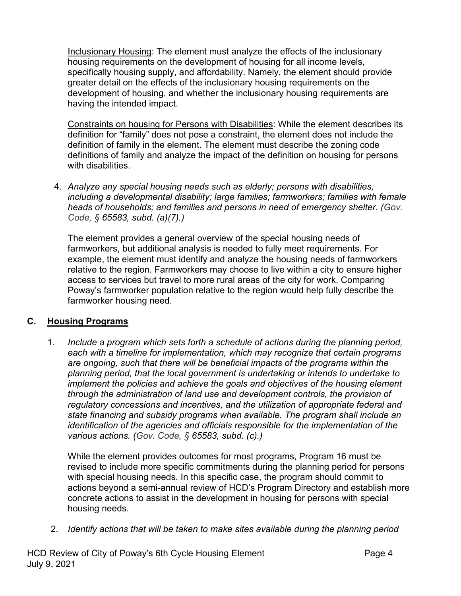Inclusionary Housing: The element must analyze the effects of the inclusionary housing requirements on the development of housing for all income levels, specifically housing supply, and affordability. Namely, the element should provide greater detail on the effects of the inclusionary housing requirements on the development of housing, and whether the inclusionary housing requirements are having the intended impact.

Constraints on housing for Persons with Disabilities: While the element describes its definition for "family" does not pose a constraint, the element does not include the definition of family in the element. The element must describe the zoning code definitions of family and analyze the impact of the definition on housing for persons with disabilities.

4. *Analyze any special housing needs such as elderly; persons with disabilities, including a developmental disability; large families; farmworkers; families with female heads of households; and families and persons in need of emergency shelter. (Gov. Code, § 65583, subd. (a)(7).)*

The element provides a general overview of the special housing needs of farmworkers, but additional analysis is needed to fully meet requirements. For example, the element must identify and analyze the housing needs of farmworkers relative to the region. Farmworkers may choose to live within a city to ensure higher access to services but travel to more rural areas of the city for work. Comparing Poway's farmworker population relative to the region would help fully describe the farmworker housing need.

## **C. Housing Programs**

1. *Include a program which sets forth a schedule of actions during the planning period, each with a timeline for implementation, which may recognize that certain programs are ongoing, such that there will be beneficial impacts of the programs within the planning period, that the local government is undertaking or intends to undertake to implement the policies and achieve the goals and objectives of the housing element through the administration of land use and development controls, the provision of regulatory concessions and incentives, and the utilization of appropriate federal and state financing and subsidy programs when available. The program shall include an identification of the agencies and officials responsible for the implementation of the various actions. (Gov. Code, § 65583, subd. (c).)*

While the element provides outcomes for most programs, Program 16 must be revised to include more specific commitments during the planning period for persons with special housing needs. In this specific case, the program should commit to actions beyond a semi-annual review of HCD's Program Directory and establish more concrete actions to assist in the development in housing for persons with special housing needs.

2. *Identify actions that will be taken to make sites available during the planning period*